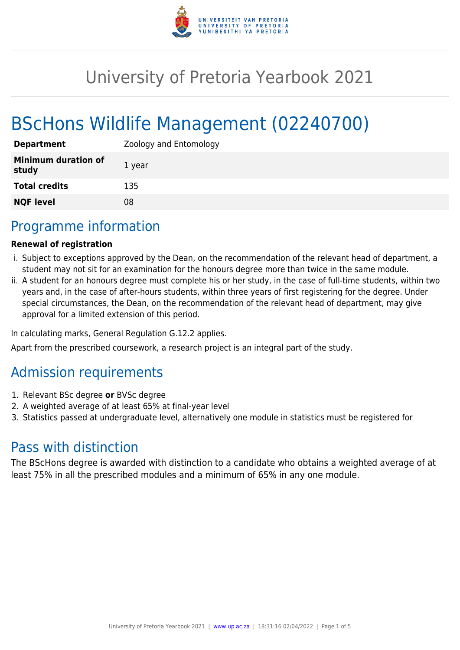

# University of Pretoria Yearbook 2021

# BScHons Wildlife Management (02240700)

| <b>Department</b>                   | Zoology and Entomology |
|-------------------------------------|------------------------|
| <b>Minimum duration of</b><br>study | 1 year                 |
| <b>Total credits</b>                | 135                    |
| <b>NQF level</b>                    | 08                     |

# Programme information

#### **Renewal of registration**

- i. Subject to exceptions approved by the Dean, on the recommendation of the relevant head of department, a student may not sit for an examination for the honours degree more than twice in the same module.
- ii. A student for an honours degree must complete his or her study, in the case of full-time students, within two years and, in the case of after-hours students, within three years of first registering for the degree. Under special circumstances, the Dean, on the recommendation of the relevant head of department, may give approval for a limited extension of this period.

In calculating marks, General Regulation G.12.2 applies.

Apart from the prescribed coursework, a research project is an integral part of the study.

# Admission requirements

- 1. Relevant BSc degree **or** BVSc degree
- 2. A weighted average of at least 65% at final-year level
- 3. Statistics passed at undergraduate level, alternatively one module in statistics must be registered for

# Pass with distinction

The BScHons degree is awarded with distinction to a candidate who obtains a weighted average of at least 75% in all the prescribed modules and a minimum of 65% in any one module.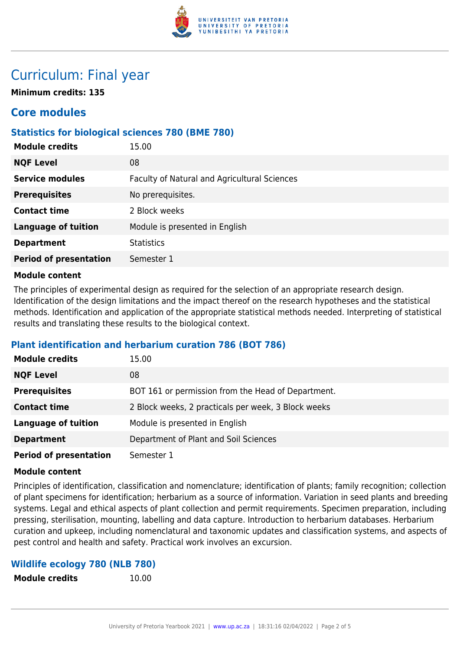

# Curriculum: Final year

**Minimum credits: 135**

## **Core modules**

## **Statistics for biological sciences 780 (BME 780)**

| 15.00                                        |
|----------------------------------------------|
| 08                                           |
| Faculty of Natural and Agricultural Sciences |
| No prerequisites.                            |
| 2 Block weeks                                |
| Module is presented in English               |
| <b>Statistics</b>                            |
| Semester 1                                   |
|                                              |

#### **Module content**

The principles of experimental design as required for the selection of an appropriate research design. Identification of the design limitations and the impact thereof on the research hypotheses and the statistical methods. Identification and application of the appropriate statistical methods needed. Interpreting of statistical results and translating these results to the biological context.

## **Plant identification and herbarium curation 786 (BOT 786)**

| <b>Module credits</b>         | 15.00                                               |
|-------------------------------|-----------------------------------------------------|
| <b>NQF Level</b>              | 08                                                  |
| <b>Prerequisites</b>          | BOT 161 or permission from the Head of Department.  |
| <b>Contact time</b>           | 2 Block weeks, 2 practicals per week, 3 Block weeks |
| <b>Language of tuition</b>    | Module is presented in English                      |
| <b>Department</b>             | Department of Plant and Soil Sciences               |
| <b>Period of presentation</b> | Semester 1                                          |

#### **Module content**

Principles of identification, classification and nomenclature; identification of plants; family recognition; collection of plant specimens for identification; herbarium as a source of information. Variation in seed plants and breeding systems. Legal and ethical aspects of plant collection and permit requirements. Specimen preparation, including pressing, sterilisation, mounting, labelling and data capture. Introduction to herbarium databases. Herbarium curation and upkeep, including nomenclatural and taxonomic updates and classification systems, and aspects of pest control and health and safety. Practical work involves an excursion.

#### **Wildlife ecology 780 (NLB 780)**

**Module credits** 10.00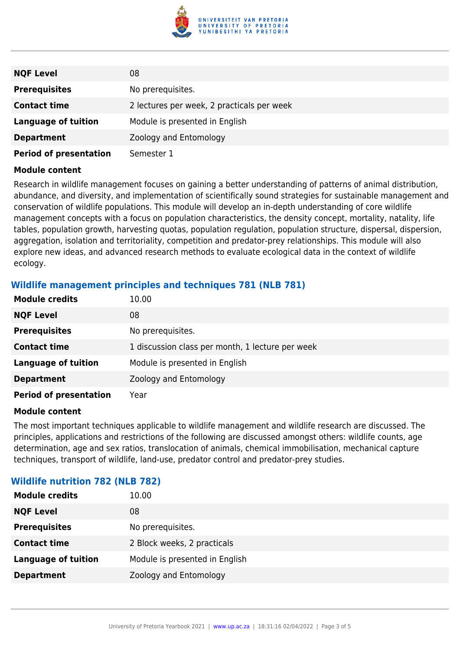

| <b>NQF Level</b>              | 08                                         |
|-------------------------------|--------------------------------------------|
| <b>Prerequisites</b>          | No prerequisites.                          |
| <b>Contact time</b>           | 2 lectures per week, 2 practicals per week |
| <b>Language of tuition</b>    | Module is presented in English             |
| <b>Department</b>             | Zoology and Entomology                     |
| <b>Period of presentation</b> | Semester 1                                 |

#### **Module content**

Research in wildlife management focuses on gaining a better understanding of patterns of animal distribution, abundance, and diversity, and implementation of scientifically sound strategies for sustainable management and conservation of wildlife populations. This module will develop an in-depth understanding of core wildlife management concepts with a focus on population characteristics, the density concept, mortality, natality, life tables, population growth, harvesting quotas, population regulation, population structure, dispersal, dispersion, aggregation, isolation and territoriality, competition and predator-prey relationships. This module will also explore new ideas, and advanced research methods to evaluate ecological data in the context of wildlife ecology.

#### **Wildlife management principles and techniques 781 (NLB 781)**

| <b>Module credits</b>         | 10.00                                            |
|-------------------------------|--------------------------------------------------|
| <b>NQF Level</b>              | 08                                               |
| <b>Prerequisites</b>          | No prerequisites.                                |
| <b>Contact time</b>           | 1 discussion class per month, 1 lecture per week |
| <b>Language of tuition</b>    | Module is presented in English                   |
| <b>Department</b>             | Zoology and Entomology                           |
| <b>Period of presentation</b> | Year                                             |

#### **Module content**

The most important techniques applicable to wildlife management and wildlife research are discussed. The principles, applications and restrictions of the following are discussed amongst others: wildlife counts, age determination, age and sex ratios, translocation of animals, chemical immobilisation, mechanical capture techniques, transport of wildlife, land-use, predator control and predator-prey studies.

| <b>Module credits</b>      | 10.00                          |
|----------------------------|--------------------------------|
| <b>NQF Level</b>           | 08                             |
| <b>Prerequisites</b>       | No prerequisites.              |
| <b>Contact time</b>        | 2 Block weeks, 2 practicals    |
| <b>Language of tuition</b> | Module is presented in English |
| <b>Department</b>          | Zoology and Entomology         |
|                            |                                |

#### **Wildlife nutrition 782 (NLB 782)**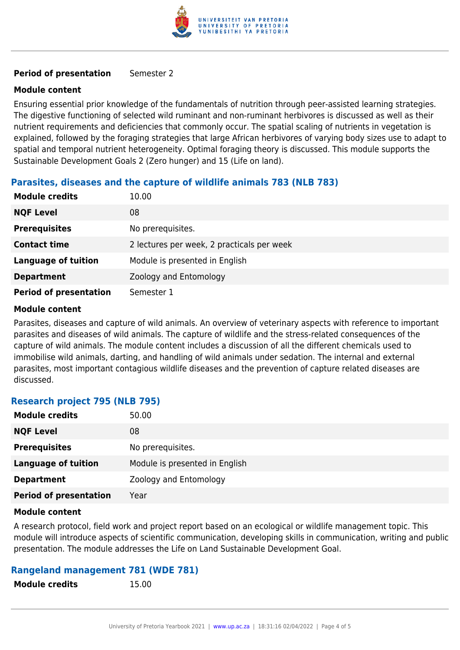

#### **Period of presentation** Semester 2

#### **Module content**

Ensuring essential prior knowledge of the fundamentals of nutrition through peer-assisted learning strategies. The digestive functioning of selected wild ruminant and non-ruminant herbivores is discussed as well as their nutrient requirements and deficiencies that commonly occur. The spatial scaling of nutrients in vegetation is explained, followed by the foraging strategies that large African herbivores of varying body sizes use to adapt to spatial and temporal nutrient heterogeneity. Optimal foraging theory is discussed. This module supports the Sustainable Development Goals 2 (Zero hunger) and 15 (Life on land).

## **Parasites, diseases and the capture of wildlife animals 783 (NLB 783)**

| <b>Module credits</b>         | 10.00                                      |
|-------------------------------|--------------------------------------------|
| <b>NQF Level</b>              | 08                                         |
| <b>Prerequisites</b>          | No prerequisites.                          |
| <b>Contact time</b>           | 2 lectures per week, 2 practicals per week |
| <b>Language of tuition</b>    | Module is presented in English             |
| <b>Department</b>             | Zoology and Entomology                     |
| <b>Period of presentation</b> | Semester 1                                 |

#### **Module content**

Parasites, diseases and capture of wild animals. An overview of veterinary aspects with reference to important parasites and diseases of wild animals. The capture of wildlife and the stress-related consequences of the capture of wild animals. The module content includes a discussion of all the different chemicals used to immobilise wild animals, darting, and handling of wild animals under sedation. The internal and external parasites, most important contagious wildlife diseases and the prevention of capture related diseases are discussed.

## **Research project 795 (NLB 795)**

| <b>Module credits</b>         | 50.00                          |
|-------------------------------|--------------------------------|
| <b>NQF Level</b>              | 08                             |
| <b>Prerequisites</b>          | No prerequisites.              |
| <b>Language of tuition</b>    | Module is presented in English |
| <b>Department</b>             | Zoology and Entomology         |
| <b>Period of presentation</b> | Year                           |

#### **Module content**

A research protocol, field work and project report based on an ecological or wildlife management topic. This module will introduce aspects of scientific communication, developing skills in communication, writing and public presentation. The module addresses the Life on Land Sustainable Development Goal.

## **Rangeland management 781 (WDE 781)**

**Module credits** 15.00